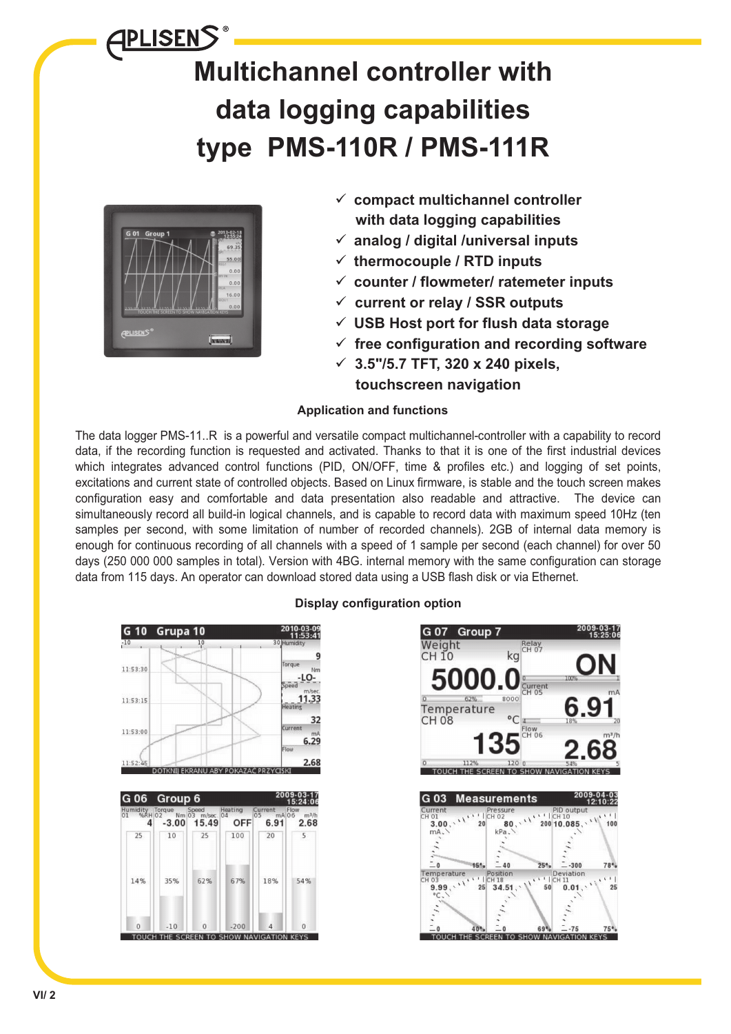# APLISENS **Multichannel controller with data logging capabilities type PMS-110R / PMS-111R**



- **c ompact multichannel controller with data logging capabilities**
- **analog / digital /universal inputs**
- **thermocouple / RTD inputs**
- **counter / flowmeter/ ratemeter inputs**
- **current or relay / SSR outputs**
- **USB Host port for flush data storage**
- **free configuration and recording software**
- **3.5"/5.7 TFT, 320 x 240 pixels,**
	- **touchscreen navigation**

# **Application and functions**

The data logger PMS-11..R is a powerful and versatile compact multichannel-controller with a capability to record data, if the recording function is requested and activated. Thanks to that it is one of the first industrial devices which integrates advanced control functions (PID, ON/OFF, time & profiles etc.) and logging of set points, excitations and current state of controlled objects. Based on Linux firmware, is stable and the touch screen makes configuration easy and comfortable and data presentation also readable and attractive. The device can simultaneously record all build-in logical channels, and is capable to record data with maximum speed 10Hz (ten samples per second, with some limitation of number of recorded channels). 2GB of internal data memory is enough for continuous recording of all channels with a speed of 1 sample per second (each channel) for over 50 days (250 000 000 samples in total). Version with 4BG. internal memory with the same configuration can storage data from 115 days. An operator can download stored data using a USB flash disk or via Ethernet.



# **Display configuration option**